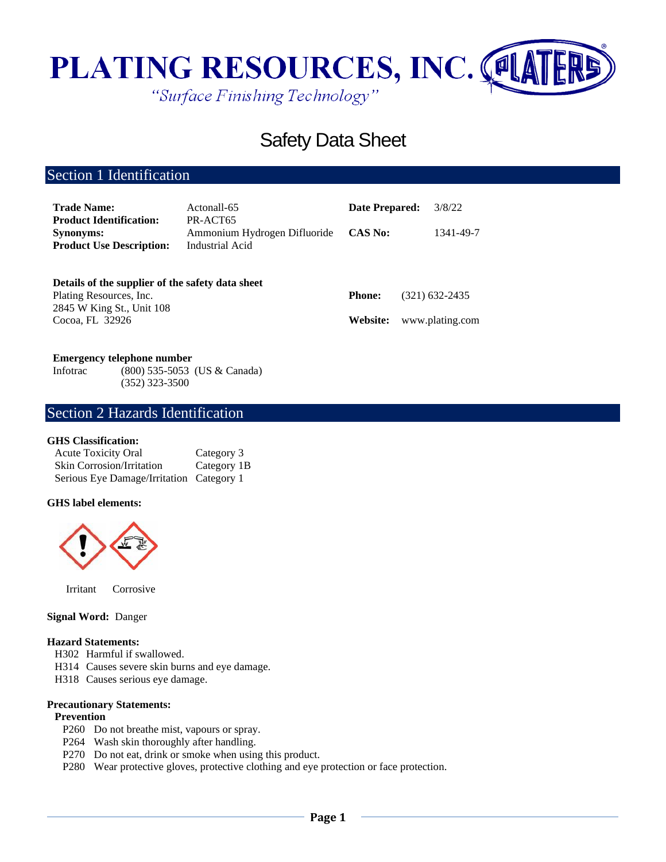

# Safety Data Sheet

## Section 1 Identification

| <b>Trade Name:</b><br><b>Product Identification:</b><br><b>Synonyms:</b>    | Actonall-65<br>PR-ACT65<br>Ammonium Hydrogen Difluoride | <b>Date Prepared:</b><br><b>CAS No:</b> | 3/8/22<br>1341-49-7 |
|-----------------------------------------------------------------------------|---------------------------------------------------------|-----------------------------------------|---------------------|
| <b>Product Use Description:</b>                                             | Industrial Acid                                         |                                         |                     |
| Details of the supplier of the safety data sheet<br>Plating Resources, Inc. |                                                         | <b>Phone:</b>                           | $(321)$ 632-2435    |

2845 W King St., Unit 108 Cocoa, FL 32926

**Website:** www.plating.com

#### **Emergency telephone number**

Infotrac (800) 535-5053 (US & Canada) (352) 323-3500

## Section 2 Hazards Identification

#### **GHS Classification:**

| <b>Acute Toxicity Oral</b>               | Category 3  |
|------------------------------------------|-------------|
| <b>Skin Corrosion/Irritation</b>         | Category 1B |
| Serious Eye Damage/Irritation Category 1 |             |

#### **GHS label elements:**



Irritant Corrosive

### **Signal Word:** Danger

#### **Hazard Statements:**

- H302 Harmful if swallowed.
- H314 Causes severe skin burns and eye damage.
- H318 Causes serious eye damage.

#### **Precautionary Statements:**

#### **Prevention**

- P260 Do not breathe mist, vapours or spray.
- P264 Wash skin thoroughly after handling.
- P270 Do not eat, drink or smoke when using this product.
- P280 Wear protective gloves, protective clothing and eye protection or face protection.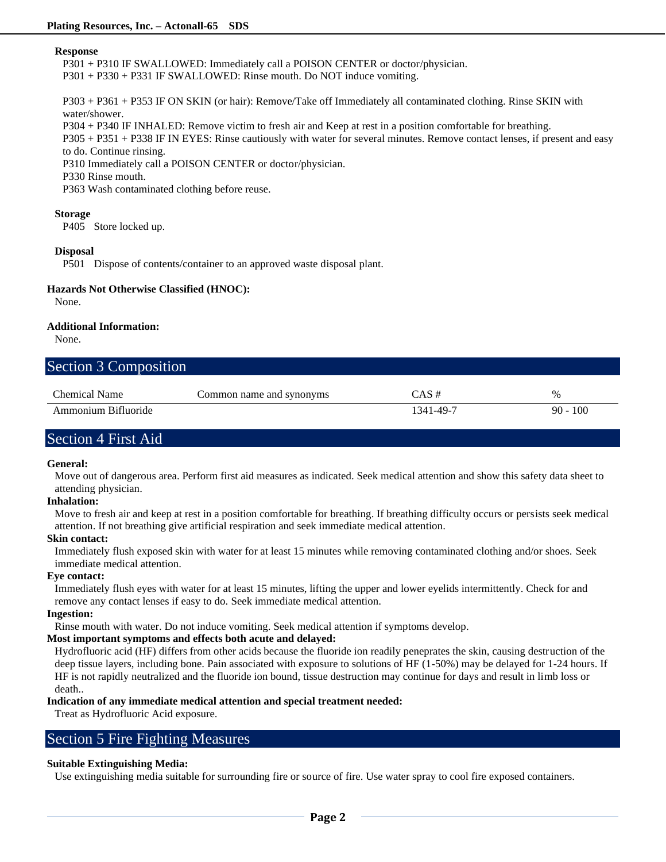#### **Response**

P301 + P310 IF SWALLOWED: Immediately call a POISON CENTER or doctor/physician.

P301 + P330 + P331 IF SWALLOWED: Rinse mouth. Do NOT induce vomiting.

P303 + P361 + P353 IF ON SKIN (or hair): Remove/Take off Immediately all contaminated clothing. Rinse SKIN with water/shower.

P304 + P340 IF INHALED: Remove victim to fresh air and Keep at rest in a position comfortable for breathing.

P305 + P351 + P338 IF IN EYES: Rinse cautiously with water for several minutes. Remove contact lenses, if present and easy to do. Continue rinsing.

P310 Immediately call a POISON CENTER or doctor/physician.

#### P330 Rinse mouth.

P363 Wash contaminated clothing before reuse.

#### **Storage**

P405 Store locked up.

#### **Disposal**

P501 Dispose of contents/container to an approved waste disposal plant.

#### **Hazards Not Otherwise Classified (HNOC):**

None.

#### **Additional Information:**

None.

| Section 3 Composition |                          |           |            |
|-----------------------|--------------------------|-----------|------------|
| Chemical Name         | Common name and synonyms | $CAS \#$  | $\%$       |
| Ammonium Bifluoride   |                          | 1341-49-7 | $90 - 100$ |

## Section 4 First Aid

#### **General:**

Move out of dangerous area. Perform first aid measures as indicated. Seek medical attention and show this safety data sheet to attending physician.

#### **Inhalation:**

Move to fresh air and keep at rest in a position comfortable for breathing. If breathing difficulty occurs or persists seek medical attention. If not breathing give artificial respiration and seek immediate medical attention.

#### **Skin contact:**

Immediately flush exposed skin with water for at least 15 minutes while removing contaminated clothing and/or shoes. Seek immediate medical attention.

#### **Eye contact:**

Immediately flush eyes with water for at least 15 minutes, lifting the upper and lower eyelids intermittently. Check for and remove any contact lenses if easy to do. Seek immediate medical attention.

#### **Ingestion:**

Rinse mouth with water. Do not induce vomiting. Seek medical attention if symptoms develop.

#### **Most important symptoms and effects both acute and delayed:**

Hydrofluoric acid (HF) differs from other acids because the fluoride ion readily peneprates the skin, causing destruction of the deep tissue layers, including bone. Pain associated with exposure to solutions of HF (1-50%) may be delayed for 1-24 hours. If HF is not rapidly neutralized and the fluoride ion bound, tissue destruction may continue for days and result in limb loss or death..

#### **Indication of any immediate medical attention and special treatment needed:**

Treat as Hydrofluoric Acid exposure.

## Section 5 Fire Fighting Measures

#### **Suitable Extinguishing Media:**

Use extinguishing media suitable for surrounding fire or source of fire. Use water spray to cool fire exposed containers.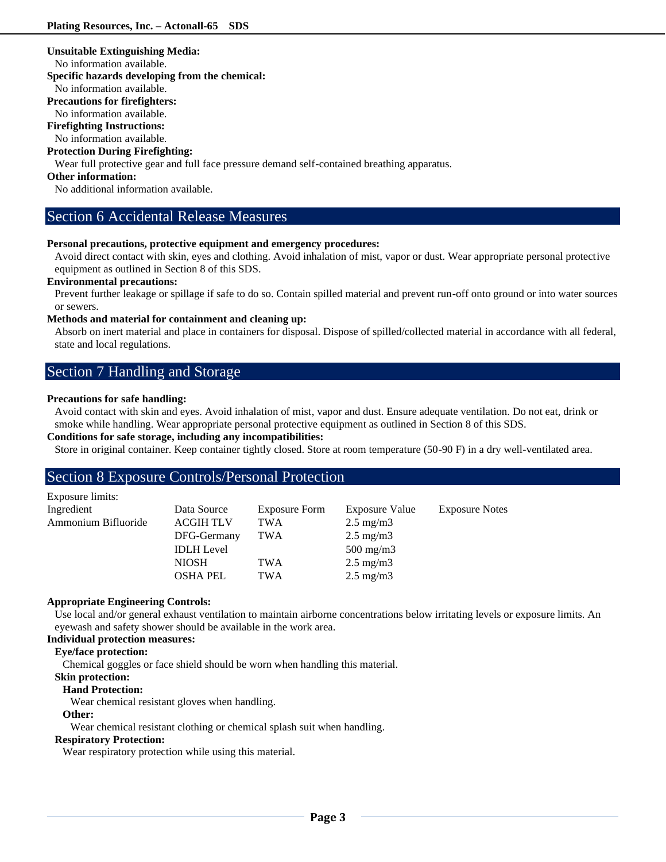#### **Unsuitable Extinguishing Media:**

No information available.

#### **Specific hazards developing from the chemical:**

No information available.

#### **Precautions for firefighters:**

No information available.

#### **Firefighting Instructions:**

No information available.

#### **Protection During Firefighting:**

Wear full protective gear and full face pressure demand self-contained breathing apparatus.

#### **Other information:**

No additional information available.

## Section 6 Accidental Release Measures

#### **Personal precautions, protective equipment and emergency procedures:**

Avoid direct contact with skin, eyes and clothing. Avoid inhalation of mist, vapor or dust. Wear appropriate personal protective equipment as outlined in Section 8 of this SDS.

#### **Environmental precautions:**

Prevent further leakage or spillage if safe to do so. Contain spilled material and prevent run-off onto ground or into water sources or sewers.

#### **Methods and material for containment and cleaning up:**

Absorb on inert material and place in containers for disposal. Dispose of spilled/collected material in accordance with all federal, state and local regulations.

## Section 7 Handling and Storage

#### **Precautions for safe handling:**

Avoid contact with skin and eyes. Avoid inhalation of mist, vapor and dust. Ensure adequate ventilation. Do not eat, drink or smoke while handling. Wear appropriate personal protective equipment as outlined in Section 8 of this SDS.

### **Conditions for safe storage, including any incompatibilities:**

Store in original container. Keep container tightly closed. Store at room temperature (50-90 F) in a dry well-ventilated area.

## Section 8 Exposure Controls/Personal Protection

| Exposure limits:    |                   |               |                    |                       |
|---------------------|-------------------|---------------|--------------------|-----------------------|
| Ingredient          | Data Source       | Exposure Form | Exposure Value     | <b>Exposure Notes</b> |
| Ammonium Bifluoride | <b>ACGIH TLV</b>  | <b>TWA</b>    | $2.5 \text{ mg/m}$ |                       |
|                     | DFG-Germany       | TWA           | $2.5 \text{ mg/m}$ |                       |
|                     | <b>IDLH</b> Level |               | $500 \text{ mg/m}$ |                       |
|                     | <b>NIOSH</b>      | TWA           | $2.5 \text{ mg/m}$ |                       |
|                     | <b>OSHA PEL</b>   | TWA           | $2.5 \text{ mg/m}$ |                       |

#### **Appropriate Engineering Controls:**

Use local and/or general exhaust ventilation to maintain airborne concentrations below irritating levels or exposure limits. An eyewash and safety shower should be available in the work area.

### **Individual protection measures:**

### **Eye/face protection:**

Chemical goggles or face shield should be worn when handling this material.

#### **Skin protection:**

#### **Hand Protection:**

Wear chemical resistant gloves when handling.

#### **Other:**

Wear chemical resistant clothing or chemical splash suit when handling.

#### **Respiratory Protection:**

Wear respiratory protection while using this material.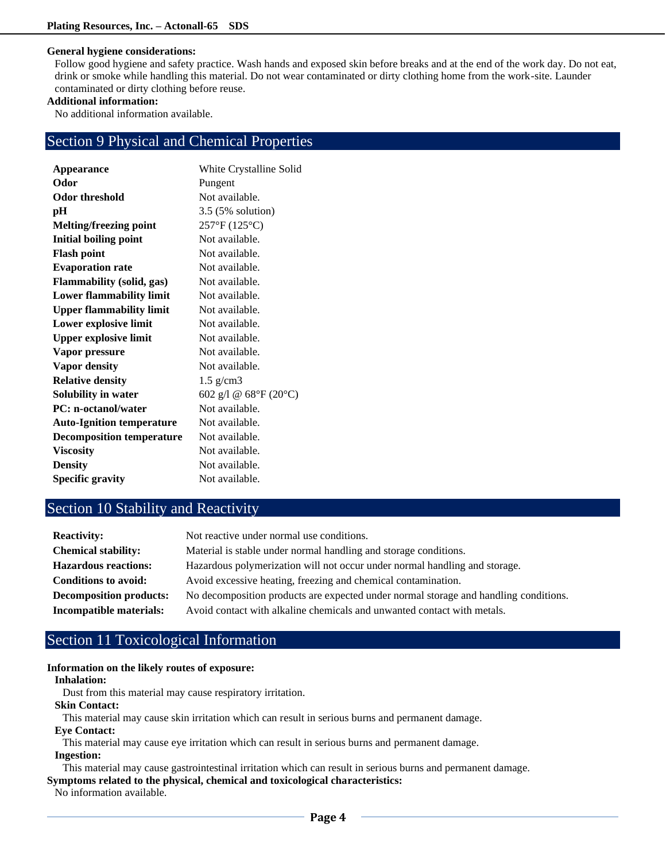#### **General hygiene considerations:**

Follow good hygiene and safety practice. Wash hands and exposed skin before breaks and at the end of the work day. Do not eat, drink or smoke while handling this material. Do not wear contaminated or dirty clothing home from the work-site. Launder contaminated or dirty clothing before reuse.

## **Additional information:**

No additional information available.

## Section 9 Physical and Chemical Properties

| Appearance                       | White Crystalline Solid |
|----------------------------------|-------------------------|
| Odor                             | Pungent                 |
| Odor threshold                   | Not available.          |
| pН                               | 3.5 (5% solution)       |
| Melting/freezing point           | 257°F (125°C)           |
| <b>Initial boiling point</b>     | Not available.          |
| <b>Flash point</b>               | Not available.          |
| <b>Evaporation rate</b>          | Not available.          |
| <b>Flammability (solid, gas)</b> | Not available.          |
| Lower flammability limit         | Not available.          |
| <b>Upper flammability limit</b>  | Not available.          |
| Lower explosive limit            | Not available.          |
| <b>Upper explosive limit</b>     | Not available.          |
| Vapor pressure                   | Not available.          |
| <b>Vapor density</b>             | Not available.          |
| <b>Relative density</b>          | $1.5$ g/cm3             |
| Solubility in water              | 602 g/l @ 68°F (20°C)   |
| <b>PC:</b> n-octanol/water       | Not available.          |
| <b>Auto-Ignition temperature</b> | Not available.          |
| <b>Decomposition temperature</b> | Not available.          |
| <b>Viscosity</b>                 | Not available.          |
| <b>Density</b>                   | Not available.          |
| <b>Specific gravity</b>          | Not available.          |

## Section 10 Stability and Reactivity

| <b>Reactivity:</b>             | Not reactive under normal use conditions.                                            |
|--------------------------------|--------------------------------------------------------------------------------------|
| <b>Chemical stability:</b>     | Material is stable under normal handling and storage conditions.                     |
| <b>Hazardous reactions:</b>    | Hazardous polymerization will not occur under normal handling and storage.           |
| <b>Conditions to avoid:</b>    | Avoid excessive heating, freezing and chemical contamination.                        |
| <b>Decomposition products:</b> | No decomposition products are expected under normal storage and handling conditions. |
| Incompatible materials:        | Avoid contact with alkaline chemicals and unwanted contact with metals.              |

## Section 11 Toxicological Information

#### **Information on the likely routes of exposure:**

#### **Inhalation:**

Dust from this material may cause respiratory irritation.

#### **Skin Contact:**

This material may cause skin irritation which can result in serious burns and permanent damage.

### **Eye Contact:**

This material may cause eye irritation which can result in serious burns and permanent damage. **Ingestion:**

This material may cause gastrointestinal irritation which can result in serious burns and permanent damage.

**Symptoms related to the physical, chemical and toxicological characteristics:**

No information available.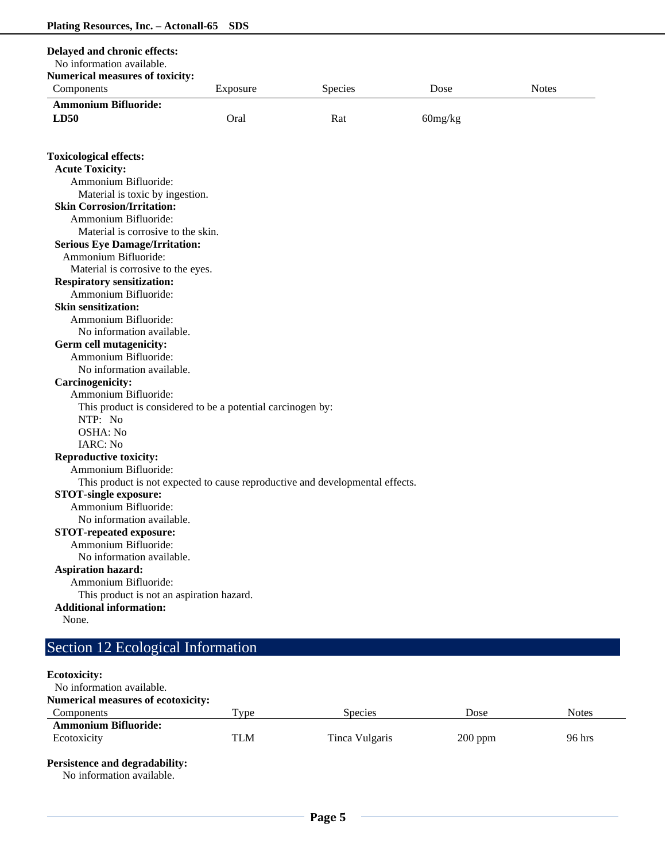| Delayed and chronic effects:                                                  |          |         |         |              |
|-------------------------------------------------------------------------------|----------|---------|---------|--------------|
| No information available.                                                     |          |         |         |              |
| <b>Numerical measures of toxicity:</b>                                        |          |         |         |              |
| Components                                                                    | Exposure | Species | Dose    | <b>Notes</b> |
| <b>Ammonium Bifluoride:</b>                                                   |          |         |         |              |
| LD50                                                                          | Oral     | Rat     | 60mg/kg |              |
|                                                                               |          |         |         |              |
|                                                                               |          |         |         |              |
| <b>Toxicological effects:</b><br><b>Acute Toxicity:</b>                       |          |         |         |              |
| Ammonium Bifluoride:                                                          |          |         |         |              |
| Material is toxic by ingestion.                                               |          |         |         |              |
| <b>Skin Corrosion/Irritation:</b>                                             |          |         |         |              |
| Ammonium Bifluoride:                                                          |          |         |         |              |
| Material is corrosive to the skin.                                            |          |         |         |              |
| <b>Serious Eye Damage/Irritation:</b>                                         |          |         |         |              |
| Ammonium Bifluoride:                                                          |          |         |         |              |
| Material is corrosive to the eyes.                                            |          |         |         |              |
| <b>Respiratory sensitization:</b>                                             |          |         |         |              |
| Ammonium Bifluoride:                                                          |          |         |         |              |
| <b>Skin sensitization:</b>                                                    |          |         |         |              |
| Ammonium Bifluoride:                                                          |          |         |         |              |
| No information available.                                                     |          |         |         |              |
| Germ cell mutagenicity:                                                       |          |         |         |              |
| Ammonium Bifluoride:                                                          |          |         |         |              |
| No information available.                                                     |          |         |         |              |
| <b>Carcinogenicity:</b>                                                       |          |         |         |              |
| Ammonium Bifluoride:                                                          |          |         |         |              |
| This product is considered to be a potential carcinogen by:                   |          |         |         |              |
| NTP: No                                                                       |          |         |         |              |
| OSHA: No                                                                      |          |         |         |              |
| IARC: No                                                                      |          |         |         |              |
| <b>Reproductive toxicity:</b>                                                 |          |         |         |              |
| Ammonium Bifluoride:                                                          |          |         |         |              |
| This product is not expected to cause reproductive and developmental effects. |          |         |         |              |
| <b>STOT-single exposure:</b>                                                  |          |         |         |              |
| Ammonium Bifluoride:                                                          |          |         |         |              |
| No information available.                                                     |          |         |         |              |
| <b>STOT-repeated exposure:</b>                                                |          |         |         |              |
| Ammonium Bifluoride:                                                          |          |         |         |              |
| No information available.                                                     |          |         |         |              |
| <b>Aspiration hazard:</b>                                                     |          |         |         |              |
| Ammonium Bifluoride:                                                          |          |         |         |              |
| This product is not an aspiration hazard.                                     |          |         |         |              |
| <b>Additional information:</b>                                                |          |         |         |              |
| None.                                                                         |          |         |         |              |
|                                                                               |          |         |         |              |

# Section 12 Ecological Information

## **Ecotoxicity:**

No information available. **Numerical measures of ecotoxicity: Components** Type Species Dose Notes **Ammonium Bifluoride:** Ecotoxicity TLM Tinca Vulgaris 200 ppm 96 hrs **Persistence and degradability:**

No information available.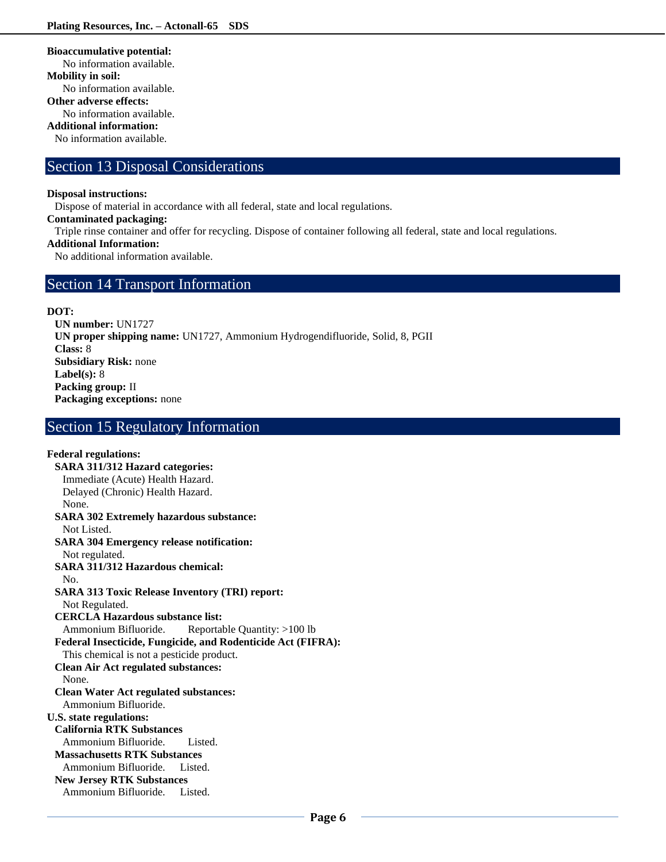**Bioaccumulative potential:**

No information available. **Mobility in soil:** No information available. **Other adverse effects:** No information available. **Additional information:**

No information available.

## Section 13 Disposal Considerations

#### **Disposal instructions:**

Dispose of material in accordance with all federal, state and local regulations.

#### **Contaminated packaging:**

Triple rinse container and offer for recycling. Dispose of container following all federal, state and local regulations.

## **Additional Information:**

No additional information available.

## Section 14 Transport Information

#### **DOT:**

**UN number:** UN1727 **UN proper shipping name:** UN1727, Ammonium Hydrogendifluoride, Solid, 8, PGII **Class:** 8 **Subsidiary Risk:** none **Label(s):** 8 **Packing group:** II **Packaging exceptions:** none

## Section 15 Regulatory Information

## **Federal regulations:**

**SARA 311/312 Hazard categories:**  Immediate (Acute) Health Hazard. Delayed (Chronic) Health Hazard. None. **SARA 302 Extremely hazardous substance:** Not Listed. **SARA 304 Emergency release notification:** Not regulated. **SARA 311/312 Hazardous chemical:** No. **SARA 313 Toxic Release Inventory (TRI) report:** Not Regulated. **CERCLA Hazardous substance list:** Ammonium Bifluoride. Reportable Quantity: >100 lb **Federal Insecticide, Fungicide, and Rodenticide Act (FIFRA):** This chemical is not a pesticide product. **Clean Air Act regulated substances:** None. **Clean Water Act regulated substances:** Ammonium Bifluoride. **U.S. state regulations: California RTK Substances** Ammonium Bifluoride. Listed. **Massachusetts RTK Substances** Ammonium Bifluoride. Listed. **New Jersey RTK Substances** Ammonium Bifluoride. Listed.